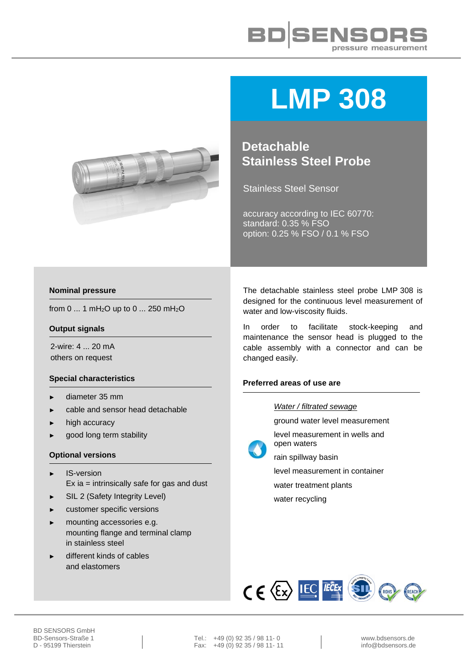



# **LMP 308**

**Detachable Stainless Steel Probe**

Stainless Steel Sensor

accuracy according to IEC 60770: standard: 0.35 % FSO option: 0.25 % FSO / 0.1 % FSO

#### **Nominal pressure**

from 0 ... 1 mH<sub>2</sub>O up to 0 ... 250 mH<sub>2</sub>O

#### **Output signals**

2-wire: 4 ... 20 mA others on request

#### **Special characteristics**

- ► diameter 35 mm
- cable and sensor head detachable
- high accuracy
- good long term stability

#### **Optional versions**

- IS-version Ex ia = intrinsically safe for gas and dust
- SIL 2 (Safety Integrity Level)
- customer specific versions
- mounting accessories e.g. mounting flange and terminal clamp in stainless steel
- different kinds of cables and elastomers

The detachable stainless steel probe LMP 308 is designed for the continuous level measurement of water and low-viscosity fluids.

In order to facilitate stock-keeping and maintenance the sensor head is plugged to the cable assembly with a connector and can be changed easily.

### **Preferred areas of use are**

#### *Water / filtrated sewage*

ground water level measurement

level measurement in wells and open waters



rain spillway basin

level measurement in container

water treatment plants

water recycling



BD-Sensors-Straße 1 Tel.: +49 (0) 92 35 / 98 11- 0 www.bdsensors.de<br>
D - 95199 Thierstein Fax: +49 (0) 92 35 / 98 11- 11 Fax:  $+49(0)$  92 35 / 98 11- 11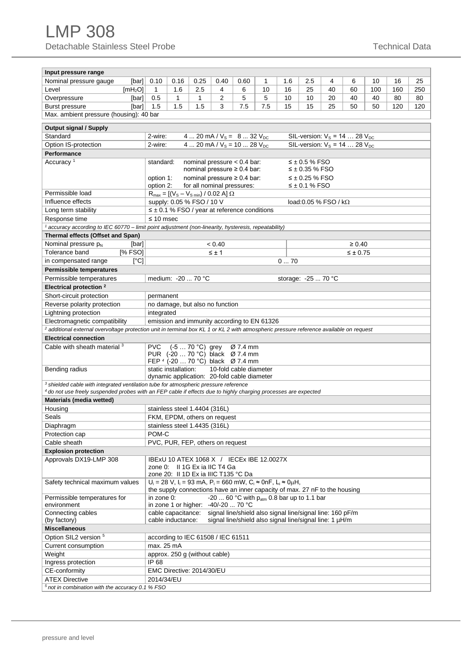| Input pressure range                                                                                                                                                        |                                                                                 |                                                                                                      |                               |                                                 |                                                                                                   |     |     |                              |    |                                |     |     |     |  |  |  |
|-----------------------------------------------------------------------------------------------------------------------------------------------------------------------------|---------------------------------------------------------------------------------|------------------------------------------------------------------------------------------------------|-------------------------------|-------------------------------------------------|---------------------------------------------------------------------------------------------------|-----|-----|------------------------------|----|--------------------------------|-----|-----|-----|--|--|--|
| Nominal pressure gauge<br>[bar]                                                                                                                                             | 0.10                                                                            | 0.16                                                                                                 | 0.25                          | 0.40                                            | 0.60                                                                                              | 1   | 1.6 | 2.5                          | 4  | 6                              | 10  | 16  | 25  |  |  |  |
| Level<br>[mH <sub>2</sub> O]                                                                                                                                                | $\mathbf{1}$                                                                    | 1.6                                                                                                  | 2.5                           | 4                                               | 6                                                                                                 | 10  | 16  | 25                           | 40 | 60                             | 100 | 160 | 250 |  |  |  |
| Overpressure<br>[bar]                                                                                                                                                       | 0.5                                                                             | 1                                                                                                    | $\mathbf{1}$                  | 2                                               | 5                                                                                                 | 5   | 10  | 10                           | 20 | 40                             | 40  | 80  | 80  |  |  |  |
| <b>Burst pressure</b><br>[bar]                                                                                                                                              | 1.5                                                                             | 1.5                                                                                                  | 1.5                           | 3                                               | 7.5                                                                                               | 7.5 | 15  | 15                           | 25 | 50                             | 50  | 120 | 120 |  |  |  |
| Max. ambient pressure (housing): 40 bar                                                                                                                                     |                                                                                 |                                                                                                      |                               |                                                 |                                                                                                   |     |     |                              |    |                                |     |     |     |  |  |  |
|                                                                                                                                                                             |                                                                                 |                                                                                                      |                               |                                                 |                                                                                                   |     |     |                              |    |                                |     |     |     |  |  |  |
| <b>Output signal / Supply</b>                                                                                                                                               |                                                                                 |                                                                                                      |                               |                                                 |                                                                                                   |     |     |                              |    |                                |     |     |     |  |  |  |
| Standard                                                                                                                                                                    | 2-wire:                                                                         | 4  20 mA / $V_s = 8$ 32 $V_{DC}$<br>SIL-version: $V_s = 14$ 28 $V_{DC}$                              |                               |                                                 |                                                                                                   |     |     |                              |    |                                |     |     |     |  |  |  |
| Option IS-protection                                                                                                                                                        | 2-wire:                                                                         | 4  20 mA / $V_s$ = 10  28 $V_{DC}$<br>SIL-version: $V_s = 14$ 28 $V_{DC}$                            |                               |                                                 |                                                                                                   |     |     |                              |    |                                |     |     |     |  |  |  |
| <b>Performance</b>                                                                                                                                                          |                                                                                 |                                                                                                      |                               |                                                 |                                                                                                   |     |     |                              |    |                                |     |     |     |  |  |  |
| Accuracy <sup>1</sup>                                                                                                                                                       |                                                                                 | nominal pressure $< 0.4$ bar:<br>$\leq$ ± 0.5 % FSO<br>standard:<br>nominal pressure $\geq 0.4$ bar: |                               |                                                 |                                                                                                   |     |     |                              |    |                                |     |     |     |  |  |  |
|                                                                                                                                                                             |                                                                                 |                                                                                                      |                               |                                                 |                                                                                                   |     |     | $\leq \pm 0.35$ % FSO        |    |                                |     |     |     |  |  |  |
|                                                                                                                                                                             | option 1:                                                                       |                                                                                                      |                               |                                                 | nominal pressure $\geq 0.4$ bar:                                                                  |     |     | ≤ ± 0.25 % FSO               |    |                                |     |     |     |  |  |  |
| Permissible load                                                                                                                                                            | option 2:                                                                       |                                                                                                      |                               |                                                 | for all nominal pressures:                                                                        |     |     | $\leq$ ± 0.1 % FSO           |    |                                |     |     |     |  |  |  |
| Influence effects                                                                                                                                                           |                                                                                 |                                                                                                      |                               | $R_{max} = [(V_s - V_{s min}) / 0.02 A] \Omega$ |                                                                                                   |     |     |                              |    |                                |     |     |     |  |  |  |
|                                                                                                                                                                             |                                                                                 |                                                                                                      | supply: 0.05 % FSO / 10 V     |                                                 | $\leq \pm 0.1$ % FSO / year at reference conditions                                               |     |     | load: 0.05 % FSO / $k\Omega$ |    |                                |     |     |     |  |  |  |
| Long term stability                                                                                                                                                         |                                                                                 |                                                                                                      |                               |                                                 |                                                                                                   |     |     |                              |    |                                |     |     |     |  |  |  |
| Response time<br>accuracy according to IEC 60770 – limit point adjustment (non-linearity, hysteresis, repeatability)                                                        | $\leq 10$ msec                                                                  |                                                                                                      |                               |                                                 |                                                                                                   |     |     |                              |    |                                |     |     |     |  |  |  |
| Thermal effects (Offset and Span)                                                                                                                                           |                                                                                 |                                                                                                      |                               |                                                 |                                                                                                   |     |     |                              |    |                                |     |     |     |  |  |  |
|                                                                                                                                                                             |                                                                                 |                                                                                                      |                               |                                                 |                                                                                                   |     |     |                              |    |                                |     |     |     |  |  |  |
| Nominal pressure $p_N$<br>[bar]<br>[% FSO]<br>Tolerance band                                                                                                                |                                                                                 |                                                                                                      |                               | < 0.40<br>$\leq \pm 1$                          |                                                                                                   |     |     |                              |    | $\geq 0.40$<br>$\leq \pm 0.75$ |     |     |     |  |  |  |
| [°C]<br>in compensated range                                                                                                                                                |                                                                                 |                                                                                                      |                               |                                                 |                                                                                                   |     | 070 |                              |    |                                |     |     |     |  |  |  |
|                                                                                                                                                                             |                                                                                 |                                                                                                      |                               |                                                 |                                                                                                   |     |     |                              |    |                                |     |     |     |  |  |  |
| <b>Permissible temperatures</b>                                                                                                                                             |                                                                                 |                                                                                                      |                               |                                                 |                                                                                                   |     |     |                              |    |                                |     |     |     |  |  |  |
| Permissible temperatures                                                                                                                                                    |                                                                                 |                                                                                                      | medium: -20  70 °C            |                                                 |                                                                                                   |     |     | storage: -25  70 °C          |    |                                |     |     |     |  |  |  |
| Electrical protection <sup>2</sup>                                                                                                                                          |                                                                                 |                                                                                                      |                               |                                                 |                                                                                                   |     |     |                              |    |                                |     |     |     |  |  |  |
| Short-circuit protection<br>permanent                                                                                                                                       |                                                                                 |                                                                                                      |                               |                                                 |                                                                                                   |     |     |                              |    |                                |     |     |     |  |  |  |
| Reverse polarity protection                                                                                                                                                 | no damage, but also no function                                                 |                                                                                                      |                               |                                                 |                                                                                                   |     |     |                              |    |                                |     |     |     |  |  |  |
| Lightning protection                                                                                                                                                        | integrated                                                                      |                                                                                                      |                               |                                                 |                                                                                                   |     |     |                              |    |                                |     |     |     |  |  |  |
| Electromagnetic compatibility                                                                                                                                               | emission and immunity according to EN 61326                                     |                                                                                                      |                               |                                                 |                                                                                                   |     |     |                              |    |                                |     |     |     |  |  |  |
| <sup>2</sup> additional external overvoltage protection unit in terminal box KL 1 or KL 2 with atmospheric pressure reference available on request                          |                                                                                 |                                                                                                      |                               |                                                 |                                                                                                   |     |     |                              |    |                                |     |     |     |  |  |  |
| <b>Electrical connection</b>                                                                                                                                                |                                                                                 |                                                                                                      |                               |                                                 |                                                                                                   |     |     |                              |    |                                |     |     |     |  |  |  |
| Cable with sheath material 3                                                                                                                                                | <b>PVC</b>                                                                      |                                                                                                      | $(-570 °C)$ grey              |                                                 | Ø 7.4 mm<br>PUR (-20  70 °C) black Ø 7.4 mm                                                       |     |     |                              |    |                                |     |     |     |  |  |  |
|                                                                                                                                                                             |                                                                                 |                                                                                                      |                               |                                                 | FEP 4 (-20  70 °C) black Ø 7.4 mm                                                                 |     |     |                              |    |                                |     |     |     |  |  |  |
| Bending radius                                                                                                                                                              |                                                                                 | static installation:                                                                                 |                               |                                                 | 10-fold cable diameter                                                                            |     |     |                              |    |                                |     |     |     |  |  |  |
|                                                                                                                                                                             |                                                                                 |                                                                                                      |                               |                                                 | dynamic application: 20-fold cable diameter                                                       |     |     |                              |    |                                |     |     |     |  |  |  |
| <sup>3</sup> shielded cable with integrated ventilation tube for atmospheric pressure reference                                                                             |                                                                                 |                                                                                                      |                               |                                                 |                                                                                                   |     |     |                              |    |                                |     |     |     |  |  |  |
| 4 do not use freely suspended probes with an FEP cable if effects due to highly charging processes are expected                                                             |                                                                                 |                                                                                                      |                               |                                                 |                                                                                                   |     |     |                              |    |                                |     |     |     |  |  |  |
| Materials (media wetted)                                                                                                                                                    |                                                                                 |                                                                                                      |                               |                                                 |                                                                                                   |     |     |                              |    |                                |     |     |     |  |  |  |
| Housing                                                                                                                                                                     |                                                                                 |                                                                                                      | stainless steel 1.4404 (316L) |                                                 |                                                                                                   |     |     |                              |    |                                |     |     |     |  |  |  |
| Seals                                                                                                                                                                       |                                                                                 |                                                                                                      |                               | FKM, EPDM, others on request                    |                                                                                                   |     |     |                              |    |                                |     |     |     |  |  |  |
| Diaphragm                                                                                                                                                                   |                                                                                 |                                                                                                      | stainless steel 1.4435 (316L) |                                                 |                                                                                                   |     |     |                              |    |                                |     |     |     |  |  |  |
| Protection cap                                                                                                                                                              | POM-C                                                                           |                                                                                                      |                               |                                                 |                                                                                                   |     |     |                              |    |                                |     |     |     |  |  |  |
| Cable sheath                                                                                                                                                                |                                                                                 |                                                                                                      |                               | PVC, PUR, FEP, others on request                |                                                                                                   |     |     |                              |    |                                |     |     |     |  |  |  |
| <b>Explosion protection</b>                                                                                                                                                 |                                                                                 |                                                                                                      |                               |                                                 |                                                                                                   |     |     |                              |    |                                |     |     |     |  |  |  |
| Approvals DX19-LMP 308                                                                                                                                                      |                                                                                 |                                                                                                      |                               |                                                 | IBExU 10 ATEX 1068 X / IECEx IBE 12.0027X                                                         |     |     |                              |    |                                |     |     |     |  |  |  |
|                                                                                                                                                                             |                                                                                 |                                                                                                      |                               | zone 0: Il 1G Ex ia IIC T4 Ga                   |                                                                                                   |     |     |                              |    |                                |     |     |     |  |  |  |
|                                                                                                                                                                             |                                                                                 |                                                                                                      |                               | zone 20: II 1D Ex ia IIIC T135 °C Da            |                                                                                                   |     |     |                              |    |                                |     |     |     |  |  |  |
| Safety technical maximum values                                                                                                                                             |                                                                                 |                                                                                                      |                               |                                                 | $U_i = 28$ V, $I_i = 93$ mA, P <sub>i</sub> = 660 mW, C <sub>i</sub> ≈ 0nF, L <sub>i</sub> ≈ 0µH, |     |     |                              |    |                                |     |     |     |  |  |  |
| the supply connections have an inner capacity of max. 27 nF to the housing<br>in zone 0:<br>-20  60 °C with $p_{atm}$ 0.8 bar up to 1.1 bar<br>Permissible temperatures for |                                                                                 |                                                                                                      |                               |                                                 |                                                                                                   |     |     |                              |    |                                |     |     |     |  |  |  |
| in zone 1 or higher: $-40/-20$ 70 °C<br>environment                                                                                                                         |                                                                                 |                                                                                                      |                               |                                                 |                                                                                                   |     |     |                              |    |                                |     |     |     |  |  |  |
| Connecting cables                                                                                                                                                           | signal line/shield also signal line/signal line: 160 pF/m<br>cable capacitance: |                                                                                                      |                               |                                                 |                                                                                                   |     |     |                              |    |                                |     |     |     |  |  |  |
| signal line/shield also signal line/signal line: 1 µH/m<br>cable inductance:<br>(by factory)                                                                                |                                                                                 |                                                                                                      |                               |                                                 |                                                                                                   |     |     |                              |    |                                |     |     |     |  |  |  |
| <b>Miscellaneous</b>                                                                                                                                                        |                                                                                 |                                                                                                      |                               |                                                 |                                                                                                   |     |     |                              |    |                                |     |     |     |  |  |  |
| Option SIL2 version 5                                                                                                                                                       |                                                                                 |                                                                                                      |                               | according to IEC 61508 / IEC 61511              |                                                                                                   |     |     |                              |    |                                |     |     |     |  |  |  |
| Current consumption                                                                                                                                                         | max. 25 mA                                                                      |                                                                                                      |                               |                                                 |                                                                                                   |     |     |                              |    |                                |     |     |     |  |  |  |
| Weight                                                                                                                                                                      | approx. 250 g (without cable)                                                   |                                                                                                      |                               |                                                 |                                                                                                   |     |     |                              |    |                                |     |     |     |  |  |  |
| Ingress protection                                                                                                                                                          | IP 68                                                                           |                                                                                                      |                               |                                                 |                                                                                                   |     |     |                              |    |                                |     |     |     |  |  |  |
| CE-conformity                                                                                                                                                               | EMC Directive: 2014/30/EU                                                       |                                                                                                      |                               |                                                 |                                                                                                   |     |     |                              |    |                                |     |     |     |  |  |  |
| <b>ATEX Directive</b>                                                                                                                                                       | 2014/34/EU                                                                      |                                                                                                      |                               |                                                 |                                                                                                   |     |     |                              |    |                                |     |     |     |  |  |  |
| $5$ not in combination with the accuracy 0.1 % FSO                                                                                                                          |                                                                                 |                                                                                                      |                               |                                                 |                                                                                                   |     |     |                              |    |                                |     |     |     |  |  |  |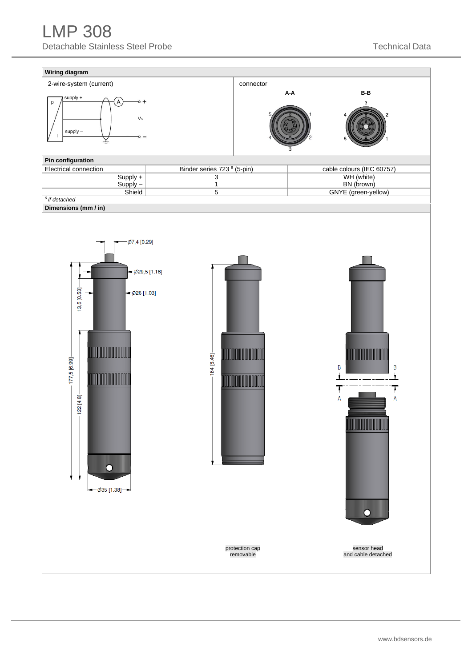## LMP 308 Detachable Stainless Steel Probe Technical Data

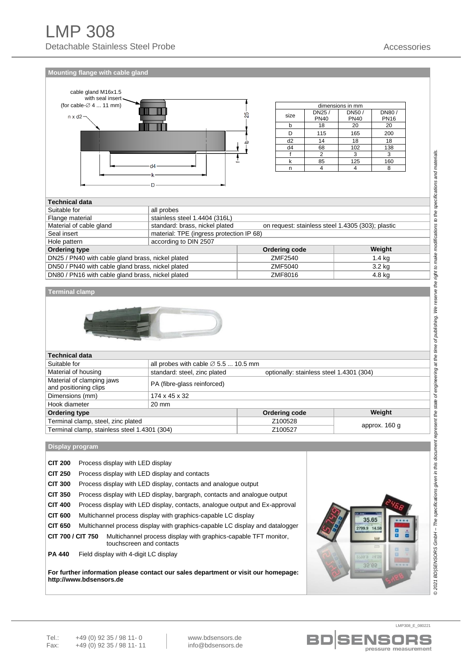**Mounting flange with cable gland**



| dimensions in mm |             |             |             |  |  |  |  |  |  |
|------------------|-------------|-------------|-------------|--|--|--|--|--|--|
| size             | DN25/       | DN50/       | DN80/       |  |  |  |  |  |  |
|                  | <b>PN40</b> | <b>PN40</b> | <b>PN16</b> |  |  |  |  |  |  |
|                  | 18          | 20          | 20          |  |  |  |  |  |  |
|                  | 115         | 165         | 200         |  |  |  |  |  |  |
| d <sub>2</sub>   | 14          | 18          | 18          |  |  |  |  |  |  |
| d4               | 68          | 102         | 138         |  |  |  |  |  |  |
|                  |             | 3           |             |  |  |  |  |  |  |
|                  | 85          | 125         | 160         |  |  |  |  |  |  |
|                  |             |             |             |  |  |  |  |  |  |

| <b>Technical data</b>                             |                                          |                                                   |        |  |  |  |  |  |  |  |
|---------------------------------------------------|------------------------------------------|---------------------------------------------------|--------|--|--|--|--|--|--|--|
| Suitable for                                      | all probes                               |                                                   |        |  |  |  |  |  |  |  |
| Flange material                                   | stainless steel 1.4404 (316L)            |                                                   |        |  |  |  |  |  |  |  |
| Material of cable gland                           | standard: brass, nickel plated           | on request: stainless steel 1.4305 (303); plastic |        |  |  |  |  |  |  |  |
| Seal insert                                       | material: TPE (ingress protection IP 68) |                                                   |        |  |  |  |  |  |  |  |
| Hole pattern                                      | according to DIN 2507                    |                                                   |        |  |  |  |  |  |  |  |
| <b>Ordering type</b>                              |                                          | Ordering code                                     | Weight |  |  |  |  |  |  |  |
| DN25 / PN40 with cable gland brass, nickel plated | ZMF2540<br>$1.4$ kg                      |                                                   |        |  |  |  |  |  |  |  |
| DN50 / PN40 with cable gland brass, nickel plated | 3.2 <sub>kq</sub><br>ZMF5040             |                                                   |        |  |  |  |  |  |  |  |
| DN80 / PN16 with cable gland brass, nickel plated | ZMF8016<br>4.8 kg                        |                                                   |        |  |  |  |  |  |  |  |

#### **Terminal clamp**



| <b>Technical data</b>                              |                                                                          |               |        |  |  |  |  |  |  |
|----------------------------------------------------|--------------------------------------------------------------------------|---------------|--------|--|--|--|--|--|--|
| Suitable for                                       | all probes with cable $\varnothing$ 5.5  10.5 mm                         |               |        |  |  |  |  |  |  |
| Material of housing                                | standard: steel, zinc plated<br>optionally: stainless steel 1.4301 (304) |               |        |  |  |  |  |  |  |
| Material of clamping jaws<br>and positioning clips | PA (fibre-glass reinforced)                                              |               |        |  |  |  |  |  |  |
| Dimensions (mm)                                    | 174 x 45 x 32                                                            |               |        |  |  |  |  |  |  |
| Hook diameter                                      | 20 mm                                                                    |               |        |  |  |  |  |  |  |
| <b>Ordering type</b>                               |                                                                          | Ordering code | Weight |  |  |  |  |  |  |
| Terminal clamp, steel, zinc plated                 | Z100528                                                                  |               |        |  |  |  |  |  |  |
| Terminal clamp, stainless steel 1.4301 (304)       | approx. 160 g<br>Z100527                                                 |               |        |  |  |  |  |  |  |

**Display program**

| <b>CIT 200</b>    | Process display with LED display                                                            |  |  |  |  |  |  |
|-------------------|---------------------------------------------------------------------------------------------|--|--|--|--|--|--|
| <b>CIT 250</b>    | Process display with LED display and contacts                                               |  |  |  |  |  |  |
| <b>CIT 300</b>    | Process display with LED display, contacts and analogue output                              |  |  |  |  |  |  |
| <b>CIT 350</b>    | Process display with LED display, bargraph, contacts and analogue output                    |  |  |  |  |  |  |
| <b>CIT 400</b>    | Process display with LED display, contacts, analogue output and Ex-approval                 |  |  |  |  |  |  |
| <b>CIT 600</b>    | Multichannel process display with graphics-capable LC display                               |  |  |  |  |  |  |
| <b>CIT 650</b>    | Multichannel process display with graphics-capable LC display and datalogger                |  |  |  |  |  |  |
| CIT 700 / CIT 750 | Multichannel process display with graphics-capable TFT monitor,<br>touchscreen and contacts |  |  |  |  |  |  |
| <b>PA 440</b>     | Field display with 4-digit LC display                                                       |  |  |  |  |  |  |

**For further information please contact our sales department or visit our homepage: http://www.bdsensors.de**